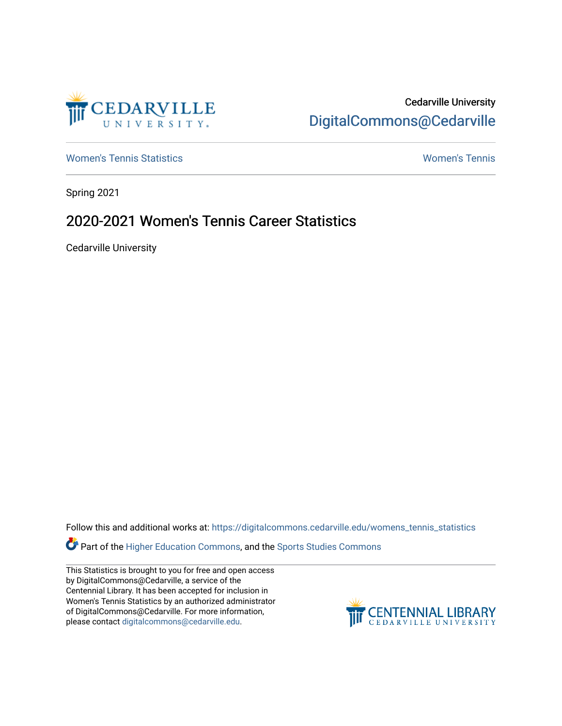

# Cedarville University [DigitalCommons@Cedarville](https://digitalcommons.cedarville.edu/)

[Women's Tennis Statistics](https://digitalcommons.cedarville.edu/womens_tennis_statistics) [Women's Tennis](https://digitalcommons.cedarville.edu/womens_tennis) 

Spring 2021

# 2020-2021 Women's Tennis Career Statistics

Cedarville University

Follow this and additional works at: [https://digitalcommons.cedarville.edu/womens\\_tennis\\_statistics](https://digitalcommons.cedarville.edu/womens_tennis_statistics?utm_source=digitalcommons.cedarville.edu%2Fwomens_tennis_statistics%2F263&utm_medium=PDF&utm_campaign=PDFCoverPages) 

Part of the [Higher Education Commons,](http://network.bepress.com/hgg/discipline/1245?utm_source=digitalcommons.cedarville.edu%2Fwomens_tennis_statistics%2F263&utm_medium=PDF&utm_campaign=PDFCoverPages) and the Sports Studies Commons

This Statistics is brought to you for free and open access by DigitalCommons@Cedarville, a service of the Centennial Library. It has been accepted for inclusion in Women's Tennis Statistics by an authorized administrator of DigitalCommons@Cedarville. For more information, please contact [digitalcommons@cedarville.edu](mailto:digitalcommons@cedarville.edu).

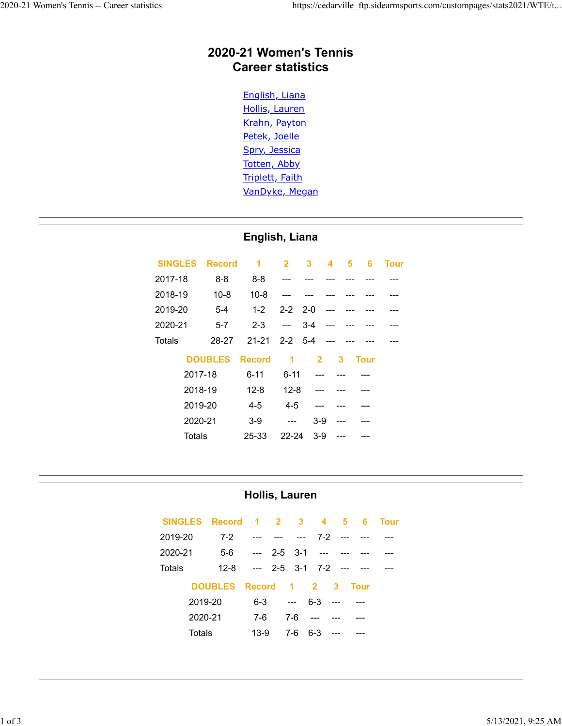### **2020-21 Women's Tennis Career statistics**

English, Liana Hollis, Lauren Krahn, Payton Petek, Joelle Spry, Jessica Totten, Abby Triplett, Faith VanDyke, Megan

#### **English, Liana**

|         | <b>SINGLES Record</b> | 1             | $\overline{2}$       | 3           | 4              | 5 | 6           | <b>Tour</b> |
|---------|-----------------------|---------------|----------------------|-------------|----------------|---|-------------|-------------|
| 2017-18 | $8 - 8$               | $8 - 8$       |                      |             |                |   |             |             |
| 2018-19 | $10 - 8$              | $10 - 8$      |                      |             |                |   |             |             |
| 2019-20 | $5 - 4$               | $1 - 2$       |                      | $2 - 2$ 2-0 | $---$          |   |             |             |
| 2020-21 | $5 - 7$               | $2 - 3$       | $---$                | 3-4         |                |   |             |             |
| Totals  | 28-27                 | 21-21         | 2-2 5-4              |             |                |   |             |             |
|         | <b>DOUBLES</b>        | <b>Record</b> | $\blacktriangleleft$ |             | $\overline{2}$ | 3 | <b>Tour</b> |             |
|         | 2017-18               | 6-11          | $6 - 11$             |             |                |   |             |             |
|         | 2018-19               | $12 - 8$      | $12 - 8$             |             |                |   |             |             |
|         | 2019-20               | $4 - 5$       | $4 - 5$              |             |                |   |             |             |
|         | 2020-21               | $3-9$         | ---                  |             | $3-9$          |   |             |             |
|         | Totals                | 25-33         | 22-24                |             | $3-9$          |   |             |             |

#### **Hollis, Lauren**

| SINGLES Record 1 2 3 4 5 |                      |                             |                                  |               |           | 6                         | Tour |
|--------------------------|----------------------|-----------------------------|----------------------------------|---------------|-----------|---------------------------|------|
| 2019-20                  | $7-2$                | $\sim$ $\sim$ $\sim$ $\sim$ | <b>Service Contract Contract</b> |               | $7-2$ --- |                           |      |
| 2020-21                  |                      | $5-6$ --- 2-5 3-1 ---       |                                  |               |           |                           |      |
| Totals                   | $12 - 8$             | $\sim$ $\sim$ $\sim$ $\sim$ |                                  |               |           | $2-5$ $3-1$ $7-2$ --- --- |      |
|                          | DOUBLES Record 1 2 3 |                             |                                  |               |           | <b>Tour</b>               |      |
| 2019-20                  |                      | $6 - 3$                     | $\sim$ $\sim$                    | $6-3$ ---     |           |                           |      |
| 2020-21                  |                      | 7-6                         | 7-6                              | $\sim$ $\sim$ |           |                           |      |
| Totals                   |                      | $13-9$                      | 7-6                              | $6 - 3$       |           |                           |      |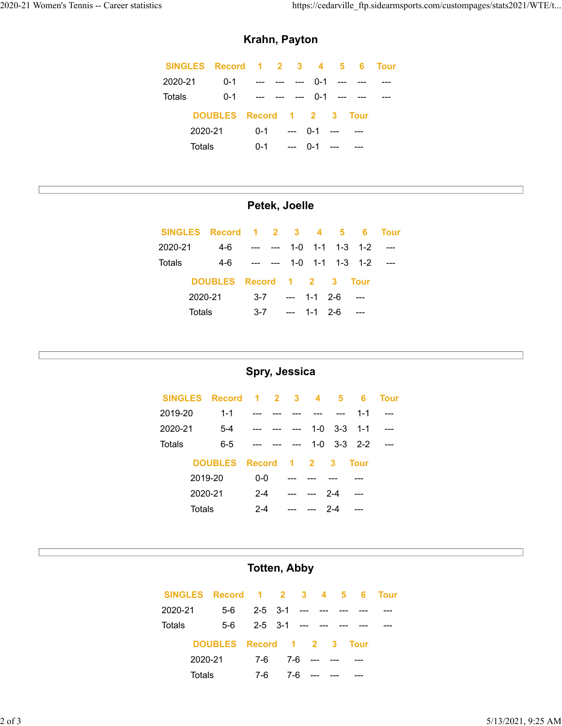E

### **Krahn, Payton**

|         |         | SINGLES Record 1 2 3 4 5 6 Tour |  |                     |  |  |
|---------|---------|---------------------------------|--|---------------------|--|--|
| 2020-21 |         | 0-1 --- --- --- 0-1 --- ---     |  |                     |  |  |
| Totals  |         | 0-1 --- --- --- 0-1 --- ---     |  |                     |  |  |
|         |         | DOUBLES Record 1 2 3 Tour       |  |                     |  |  |
|         | 2020-21 |                                 |  | $0-1$ --- $0-1$ --- |  |  |
|         | Totals  |                                 |  | $0-1$ --- $0-1$ --- |  |  |

## **Petek, Joelle**

| SINGLES Record 1 2 3 4 5 6 Tour |                           |         |                                                   |                   |  |                                 |  |
|---------------------------------|---------------------------|---------|---------------------------------------------------|-------------------|--|---------------------------------|--|
| 2020-21                         | 4-6                       |         | $\frac{1}{2}$ and $\frac{1}{2}$ and $\frac{1}{2}$ |                   |  | $1 - 0$ $1 - 1$ $1 - 3$ $1 - 2$ |  |
| Totals                          |                           |         |                                                   |                   |  | 4-6 --- --- 1-0 1-1 1-3 1-2     |  |
|                                 | DOUBLES Record 1 2 3 Tour |         |                                                   |                   |  |                                 |  |
|                                 | 2020-21                   |         |                                                   | $3-7$ --- 1-1 2-6 |  |                                 |  |
| Totals                          |                           | $3 - 7$ |                                                   | --- 1-1 2-6       |  |                                 |  |

#### **Spry, Jessica**

|         | SINGLES Record 1 2 3 4 5 |         |                                                                                                                                                                                                                                                                                                                                                                                                                                     |         |     | -6                      | <b>Tour</b> |
|---------|--------------------------|---------|-------------------------------------------------------------------------------------------------------------------------------------------------------------------------------------------------------------------------------------------------------------------------------------------------------------------------------------------------------------------------------------------------------------------------------------|---------|-----|-------------------------|-------------|
| 2019-20 | $1 - 1$                  |         |                                                                                                                                                                                                                                                                                                                                                                                                                                     |         |     | $1 - 1$                 | $- - -$     |
| 2020-21 | $5-4$                    |         | $\begin{array}{cccccccccc} \texttt{m} & \texttt{m} & \texttt{m} & \texttt{m} & \texttt{m} & \texttt{m} & \texttt{m} & \texttt{m} & \texttt{m} & \texttt{m} & \texttt{m} & \texttt{m} & \texttt{m} & \texttt{m} & \texttt{m} & \texttt{m} & \texttt{m} & \texttt{m} & \texttt{m} & \texttt{m} & \texttt{m} & \texttt{m} & \texttt{m} & \texttt{m} & \texttt{m} & \texttt{m} & \texttt{m} & \texttt{m} & \texttt{m} & \texttt{m} & \$ |         |     | $1 - 0$ $3 - 3$ $1 - 1$ |             |
| Totals  | $6-5$                    |         | $  -$                                                                                                                                                                                                                                                                                                                                                                                                                               |         |     | $1 - 0$ $3 - 3$ $2 - 2$ |             |
|         | DOUBLES Record 1 2 3     |         |                                                                                                                                                                                                                                                                                                                                                                                                                                     |         |     | <b>Tour</b>             |             |
|         | 2019-20                  | $0-0$   |                                                                                                                                                                                                                                                                                                                                                                                                                                     |         |     |                         |             |
|         | 2020-21                  | $2 - 4$ |                                                                                                                                                                                                                                                                                                                                                                                                                                     | --- 2-4 |     |                         |             |
|         | Totals                   | $2 - 4$ | $---$                                                                                                                                                                                                                                                                                                                                                                                                                               |         | 2-4 |                         |             |

#### **Totten, Abby**

|         | SINGLES Record 1 2 3 4 5 6 Tour |                 |     |             |  |  |
|---------|---------------------------------|-----------------|-----|-------------|--|--|
| 2020-21 | 5-6                             | 2-5 3-1 --- --- |     |             |  |  |
| Totals  | 5-6                             | 2-5 3-1 --- --- |     |             |  |  |
|         | DOUBLES Record 1 2 3 Tour       |                 |     |             |  |  |
|         | 2020-21                         | 7-6             |     | 7-6 --- --- |  |  |
|         | Totals                          | 7-6             | 7-6 |             |  |  |